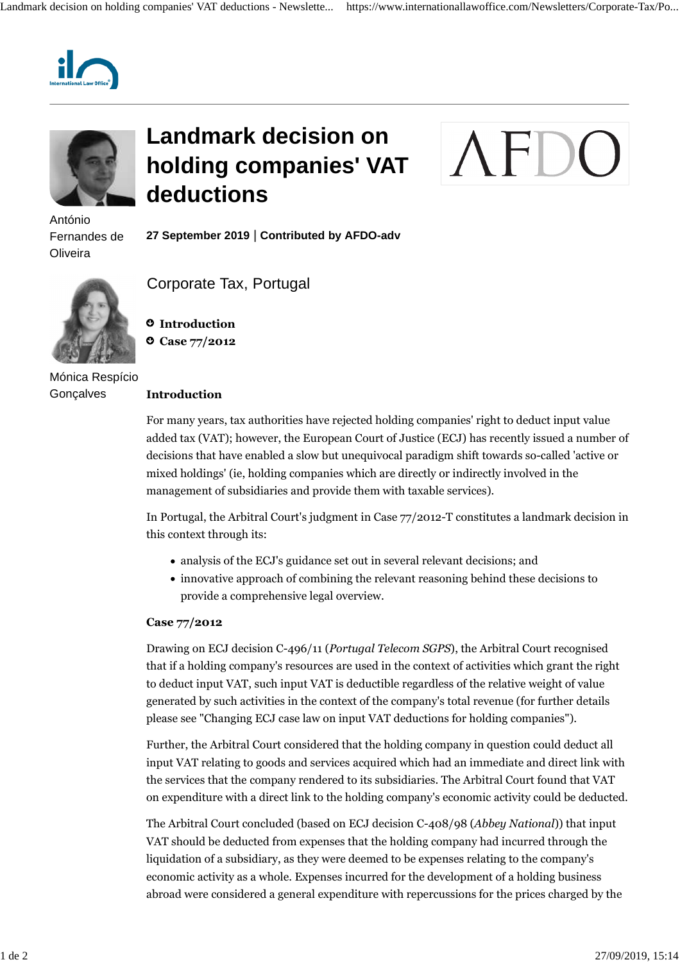



António Fernandes de **Oliveira** 

## **Landmark decision on holding companies' VAT deductions**

# **AF**

**27 September 2019** | **Contributed by AFDO-adv**



Mónica Respício **Gonçalves** 

### Corporate Tax, Portugal

 **Introduction Case 77/2012**

#### **Introduction**

For many years, tax authorities have rejected holding companies' right to deduct input value added tax (VAT); however, the European Court of Justice (ECJ) has recently issued a number of decisions that have enabled a slow but unequivocal paradigm shift towards so-called 'active or mixed holdings' (ie, holding companies which are directly or indirectly involved in the management of subsidiaries and provide them with taxable services).

In Portugal, the Arbitral Court's judgment in Case 77/2012-T constitutes a landmark decision in this context through its:

- analysis of the ECJ's guidance set out in several relevant decisions; and
- innovative approach of combining the relevant reasoning behind these decisions to provide a comprehensive legal overview.

#### **Case 77/2012**

Drawing on ECJ decision C-496/11 (*Portugal Telecom SGPS*), the Arbitral Court recognised that if a holding company's resources are used in the context of activities which grant the right to deduct input VAT, such input VAT is deductible regardless of the relative weight of value generated by such activities in the context of the company's total revenue (for further details please see "Changing ECJ case law on input VAT deductions for holding companies").

Further, the Arbitral Court considered that the holding company in question could deduct all input VAT relating to goods and services acquired which had an immediate and direct link with the services that the company rendered to its subsidiaries. The Arbitral Court found that VAT on expenditure with a direct link to the holding company's economic activity could be deducted.

The Arbitral Court concluded (based on ECJ decision C-408/98 (*Abbey National*)) that input VAT should be deducted from expenses that the holding company had incurred through the liquidation of a subsidiary, as they were deemed to be expenses relating to the company's economic activity as a whole. Expenses incurred for the development of a holding business abroad were considered a general expenditure with repercussions for the prices charged by the